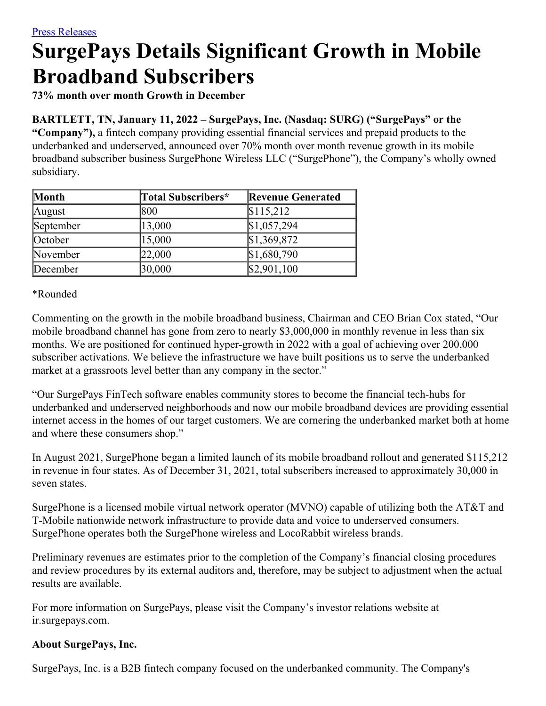# **SurgePays Details Significant Growth in Mobile Broadband Subscribers**

**73% month over month Growth in December**

# **BARTLETT, TN, January 11, 2022 – SurgePays, Inc. (Nasdaq: SURG) ("SurgePays" or the**

**"Company"),** a fintech company providing essential financial services and prepaid products to the underbanked and underserved, announced over 70% month over month revenue growth in its mobile broadband subscriber business SurgePhone Wireless LLC ("SurgePhone"), the Company's wholly owned subsidiary.

| Month     | Total Subscribers* | <b>Revenue Generated</b> |
|-----------|--------------------|--------------------------|
| August    | 800                | \$115,212                |
| September | 13,000             | \$1,057,294              |
| October   | 15,000             | \$1,369,872              |
| November  | 22,000             | \$1,680,790              |
| December  | 30,000             | \$2,901,100              |

\*Rounded

Commenting on the growth in the mobile broadband business, Chairman and CEO Brian Cox stated, "Our mobile broadband channel has gone from zero to nearly \$3,000,000 in monthly revenue in less than six months. We are positioned for continued hyper-growth in 2022 with a goal of achieving over 200,000 subscriber activations. We believe the infrastructure we have built positions us to serve the underbanked market at a grassroots level better than any company in the sector."

"Our SurgePays FinTech software enables community stores to become the financial tech-hubs for underbanked and underserved neighborhoods and now our mobile broadband devices are providing essential internet access in the homes of our target customers. We are cornering the underbanked market both at home and where these consumers shop."

In August 2021, SurgePhone began a limited launch of its mobile broadband rollout and generated \$115,212 in revenue in four states. As of December 31, 2021, total subscribers increased to approximately 30,000 in seven states.

SurgePhone is a licensed mobile virtual network operator (MVNO) capable of utilizing both the AT&T and T-Mobile nationwide network infrastructure to provide data and voice to underserved consumers. SurgePhone operates both the SurgePhone wireless and LocoRabbit wireless brands.

Preliminary revenues are estimates prior to the completion of the Company's financial closing procedures and review procedures by its external auditors and, therefore, may be subject to adjustment when the actual results are available.

For more information on SurgePays, please visit the Company's investor relations website at ir.surgepays.com.

## **About SurgePays, Inc.**

SurgePays, Inc. is a B2B fintech company focused on the underbanked community. The Company's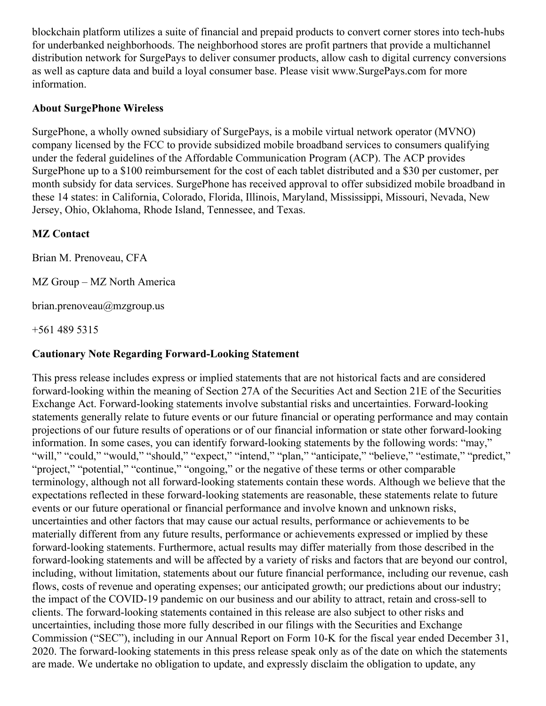blockchain platform utilizes a suite of financial and prepaid products to convert corner stores into tech-hubs for underbanked neighborhoods. The neighborhood stores are profit partners that provide a multichannel distribution network for SurgePays to deliver consumer products, allow cash to digital currency conversions as well as capture data and build a loyal consumer base. Please visit www.SurgePays.com for more information.

#### **About SurgePhone Wireless**

SurgePhone, a wholly owned subsidiary of SurgePays, is a mobile virtual network operator (MVNO) company licensed by the FCC to provide subsidized mobile broadband services to consumers qualifying under the federal guidelines of the Affordable Communication Program (ACP). The ACP provides SurgePhone up to a \$100 reimbursement for the cost of each tablet distributed and a \$30 per customer, per month subsidy for data services. SurgePhone has received approval to offer subsidized mobile broadband in these 14 states: in California, Colorado, Florida, Illinois, Maryland, Mississippi, Missouri, Nevada, New Jersey, Ohio, Oklahoma, Rhode Island, Tennessee, and Texas.

## **MZ Contact**

Brian M. Prenoveau, CFA

MZ Group – MZ North America

brian.prenoveau@mzgroup.us

+561 489 5315

#### **Cautionary Note Regarding Forward-Looking Statement**

This press release includes express or implied statements that are not historical facts and are considered forward-looking within the meaning of Section 27A of the Securities Act and Section 21E of the Securities Exchange Act. Forward-looking statements involve substantial risks and uncertainties. Forward-looking statements generally relate to future events or our future financial or operating performance and may contain projections of our future results of operations or of our financial information or state other forward-looking information. In some cases, you can identify forward-looking statements by the following words: "may," "will," "could," "would," "should," "expect," "intend," "plan," "anticipate," "believe," "estimate," "predict," "project," "potential," "continue," "ongoing," or the negative of these terms or other comparable terminology, although not all forward-looking statements contain these words. Although we believe that the expectations reflected in these forward-looking statements are reasonable, these statements relate to future events or our future operational or financial performance and involve known and unknown risks, uncertainties and other factors that may cause our actual results, performance or achievements to be materially different from any future results, performance or achievements expressed or implied by these forward-looking statements. Furthermore, actual results may differ materially from those described in the forward-looking statements and will be affected by a variety of risks and factors that are beyond our control, including, without limitation, statements about our future financial performance, including our revenue, cash flows, costs of revenue and operating expenses; our anticipated growth; our predictions about our industry; the impact of the COVID-19 pandemic on our business and our ability to attract, retain and cross-sell to clients. The forward-looking statements contained in this release are also subject to other risks and uncertainties, including those more fully described in our filings with the Securities and Exchange Commission ("SEC"), including in our Annual Report on Form 10-K for the fiscal year ended December 31, 2020. The forward-looking statements in this press release speak only as of the date on which the statements are made. We undertake no obligation to update, and expressly disclaim the obligation to update, any